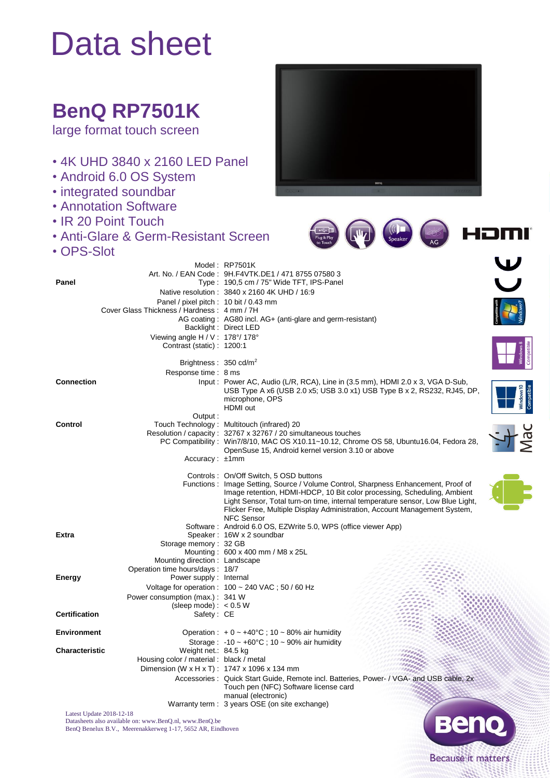## Data sheet

## **BenQ RP7501K**

large format touch screen

- 4K UHD 3840 x 2160 LED Panel
- Android 6.0 OS System
- integrated soundbar
- Annotation Software
- IR 20 Point Touch
- Anti-Glare & Germ-Resistant Screen
- OPS-Slot



|                      |                                                                  | Model: RP7501K                                                                                                                                              |  |
|----------------------|------------------------------------------------------------------|-------------------------------------------------------------------------------------------------------------------------------------------------------------|--|
|                      |                                                                  | Art. No. / EAN Code: 9H.F4VTK.DE1 / 471 8755 07580 3                                                                                                        |  |
| Panel                |                                                                  | Type: 190,5 cm / 75" Wide TFT, IPS-Panel<br>Native resolution: 3840 x 2160 4K UHD / 16:9                                                                    |  |
|                      | Panel / pixel pitch : 10 bit / 0.43 mm                           |                                                                                                                                                             |  |
|                      | Cover Glass Thickness / Hardness: 4 mm / 7H                      |                                                                                                                                                             |  |
|                      |                                                                  | AG coating: AG80 incl. AG+ (anti-glare and germ-resistant)                                                                                                  |  |
|                      |                                                                  | Backlight: Direct LED                                                                                                                                       |  |
|                      | Viewing angle $H/V$ : 178°/178°<br>Contrast (static): 1200:1     |                                                                                                                                                             |  |
|                      |                                                                  |                                                                                                                                                             |  |
|                      | Brightness: $350 \text{ cd/m}^2$                                 |                                                                                                                                                             |  |
|                      | Response time: 8 ms                                              |                                                                                                                                                             |  |
| <b>Connection</b>    |                                                                  | Input: Power AC, Audio (L/R, RCA), Line in (3.5 mm), HDMI 2.0 x 3, VGA D-Sub,                                                                               |  |
|                      |                                                                  | USB Type A x6 (USB 2.0 x5; USB 3.0 x1) USB Type B x 2, RS232, RJ45, DP,<br>microphone, OPS                                                                  |  |
|                      |                                                                  | HDMI out                                                                                                                                                    |  |
|                      | Output:                                                          |                                                                                                                                                             |  |
| Control              |                                                                  | Touch Technology: Multitouch (infrared) 20<br>Resolution / capacity: 32767 x 32767 / 20 simultaneous touches                                                |  |
|                      |                                                                  | PC Compatibility: Win7/8/10, MAC OS X10.11~10.12, Chrome OS 58, Ubuntu16.04, Fedora 28,                                                                     |  |
|                      |                                                                  | OpenSuse 15, Android kernel version 3.10 or above                                                                                                           |  |
|                      | $Accuracy: \pm 1mm$                                              |                                                                                                                                                             |  |
|                      |                                                                  | Controls: On/Off Switch, 5 OSD buttons                                                                                                                      |  |
|                      |                                                                  | Functions: Image Setting, Source / Volume Control, Sharpness Enhancement, Proof of                                                                          |  |
|                      |                                                                  | Image retention, HDMI-HDCP, 10 Bit color processing, Scheduling, Ambient                                                                                    |  |
|                      |                                                                  | Light Sensor, Total turn-on time, internal temperature sensor, Low Blue Light,<br>Flicker Free, Multiple Display Administration, Account Management System, |  |
|                      |                                                                  | <b>NFC Sensor</b>                                                                                                                                           |  |
|                      |                                                                  | Software: Android 6.0 OS, EZWrite 5.0, WPS (office viewer App)                                                                                              |  |
| <b>Extra</b>         | Storage memory: 32 GB                                            | Speaker: 16W x 2 soundbar                                                                                                                                   |  |
|                      |                                                                  | Mounting: 600 x 400 mm / M8 x 25L                                                                                                                           |  |
|                      | Mounting direction: Landscape                                    |                                                                                                                                                             |  |
|                      | Operation time hours/days: 18/7                                  |                                                                                                                                                             |  |
| Energy               | Power supply: Internal                                           |                                                                                                                                                             |  |
|                      |                                                                  | Voltage for operation : $100 \sim 240$ VAC; $50/60$ Hz                                                                                                      |  |
|                      | Power consumption (max.): 341 W<br>(sleep mode): $< 0.5 W$       |                                                                                                                                                             |  |
| <b>Certification</b> | Safety: CE                                                       |                                                                                                                                                             |  |
|                      |                                                                  |                                                                                                                                                             |  |
| <b>Environment</b>   |                                                                  | Operation : $+0$ ~ $+40^{\circ}$ C ; 10 ~ 80% air humidity                                                                                                  |  |
|                      |                                                                  | Storage: $-10 \sim +60^{\circ}$ C ; 10 ~ 90% air humidity                                                                                                   |  |
| Characteristic       | Weight net.: 84.5 kg<br>Housing color / material : black / metal |                                                                                                                                                             |  |
|                      | Dimension (W x H x T): 1747 x 1096 x 134 mm                      |                                                                                                                                                             |  |
|                      |                                                                  | Accessories: Quick Start Guide, Remote incl. Batteries, Power- / VGA- and USB cable, 2x                                                                     |  |
|                      |                                                                  | Touch pen (NFC) Software license card                                                                                                                       |  |
|                      |                                                                  | manual (electronic)                                                                                                                                         |  |
|                      | Latest Update 2018-12-18                                         | Warranty term : 3 years OSE (on site exchange)                                                                                                              |  |
|                      |                                                                  |                                                                                                                                                             |  |

Datasheets also available on: www.BenQ.nl, www.BenQ.be BenQ Benelux B.V., Meerenakkerweg 1-17, 5652 AR, Eindhoven



HOMI